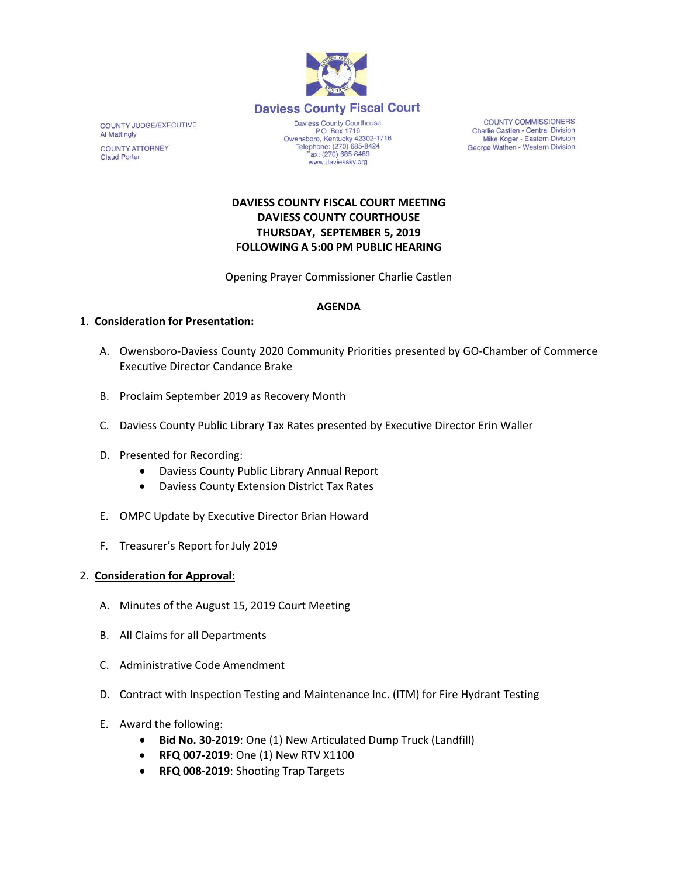

COUNTY JUDGE/EXECUTIVE **Al Mattingly COUNTY ATTORNEY Claud Porter** 

Daviess County Courthouse P.O. Box 1716 Owensboro, Kentucky 42302-1716<br>Telephone: (270) 685-8424 Fax: (270) 685-8469 www.daviessky.org

**COUNTY COMMISSIONERS** Charlie Castlen - Central Division Mike Koger - Eastern Division George Wathen - Western Division

# **DAVIESS COUNTY FISCAL COURT MEETING DAVIESS COUNTY COURTHOUSE THURSDAY, SEPTEMBER 5, 2019 FOLLOWING A 5:00 PM PUBLIC HEARING**

Opening Prayer Commissioner Charlie Castlen

### **AGENDA**

## 1. **Consideration for Presentation:**

- A. Owensboro-Daviess County 2020 Community Priorities presented by GO-Chamber of Commerce Executive Director Candance Brake
- B. Proclaim September 2019 as Recovery Month
- C. Daviess County Public Library Tax Rates presented by Executive Director Erin Waller
- D. Presented for Recording:
	- Daviess County Public Library Annual Report
	- Daviess County Extension District Tax Rates
- E. OMPC Update by Executive Director Brian Howard
- F. Treasurer's Report for July 2019

#### 2. **Consideration for Approval:**

- A. Minutes of the August 15, 2019 Court Meeting
- B. All Claims for all Departments
- C. Administrative Code Amendment
- D. Contract with Inspection Testing and Maintenance Inc. (ITM) for Fire Hydrant Testing
- E. Award the following:
	- **Bid No. 30-2019**: One (1) New Articulated Dump Truck (Landfill)
	- **RFQ 007-2019**: One (1) New RTV X1100
	- **RFQ 008-2019**: Shooting Trap Targets